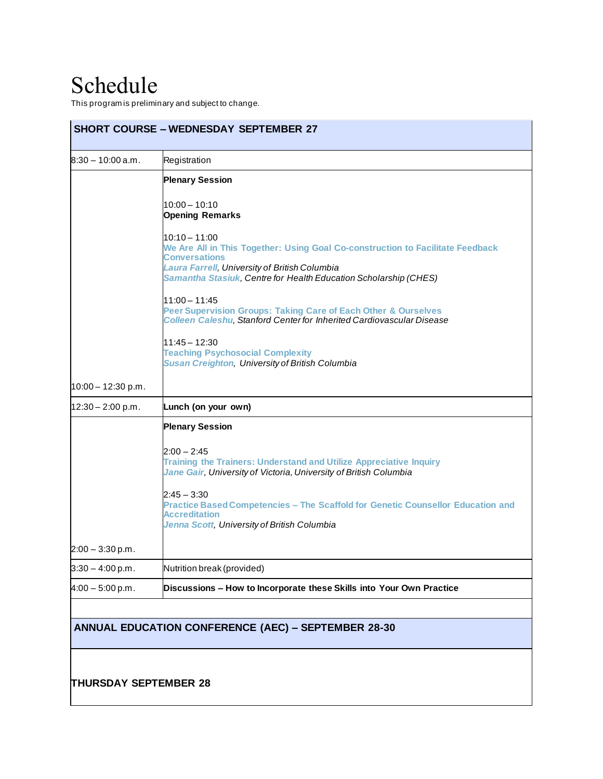## Schedule

This program is preliminary and subject to change.

| <b>SHORT COURSE – WEDNESDAY SEPTEMBER 27</b> |                                                                                                                                                                                                                                              |
|----------------------------------------------|----------------------------------------------------------------------------------------------------------------------------------------------------------------------------------------------------------------------------------------------|
| $8:30 - 10:00$ a.m.                          | Registration                                                                                                                                                                                                                                 |
|                                              | <b>Plenary Session</b>                                                                                                                                                                                                                       |
|                                              | $10:00 - 10:10$<br><b>Opening Remarks</b>                                                                                                                                                                                                    |
|                                              | 10:10 - 11:00<br>We Are All in This Together: Using Goal Co-construction to Facilitate Feedback<br><b>Conversations</b><br>Laura Farrell, University of British Columbia<br>Samantha Stasiuk, Centre for Health Education Scholarship (CHES) |
|                                              | $11:00 - 11:45$<br>Peer Supervision Groups: Taking Care of Each Other & Ourselves<br><b>Colleen Caleshu, Stanford Center for Inherited Cardiovascular Disease</b>                                                                            |
|                                              | $11:45 - 12:30$<br><b>Teaching Psychosocial Complexity</b><br><b>Susan Creighton, University of British Columbia</b>                                                                                                                         |
| $10:00 - 12:30 p.m.$                         |                                                                                                                                                                                                                                              |
| $12:30 - 2:00$ p.m.                          | Lunch (on your own)                                                                                                                                                                                                                          |
|                                              | <b>Plenary Session</b>                                                                                                                                                                                                                       |
|                                              | $2:00 - 2:45$<br><b>Training the Trainers: Understand and Utilize Appreciative Inquiry</b><br>Jane Gair, University of Victoria, University of British Columbia                                                                              |
|                                              | $2:45 - 3:30$<br>Practice Based Competencies - The Scaffold for Genetic Counsellor Education and<br><b>Accreditation</b><br>Jenna Scott, University of British Columbia                                                                      |
| $2:00 - 3:30$ p.m.                           |                                                                                                                                                                                                                                              |
| $3:30 - 4:00$ p.m.                           | Nutrition break (provided)                                                                                                                                                                                                                   |
| $4:00 - 5:00 p.m.$                           | Discussions - How to Incorporate these Skills into Your Own Practice                                                                                                                                                                         |
|                                              |                                                                                                                                                                                                                                              |
|                                              | <b>ANNUAL EDUCATION CONFERENCE (AEC) - SEPTEMBER 28-30</b>                                                                                                                                                                                   |
|                                              |                                                                                                                                                                                                                                              |
|                                              |                                                                                                                                                                                                                                              |
| <b>THURSDAY SEPTEMBER 28</b>                 |                                                                                                                                                                                                                                              |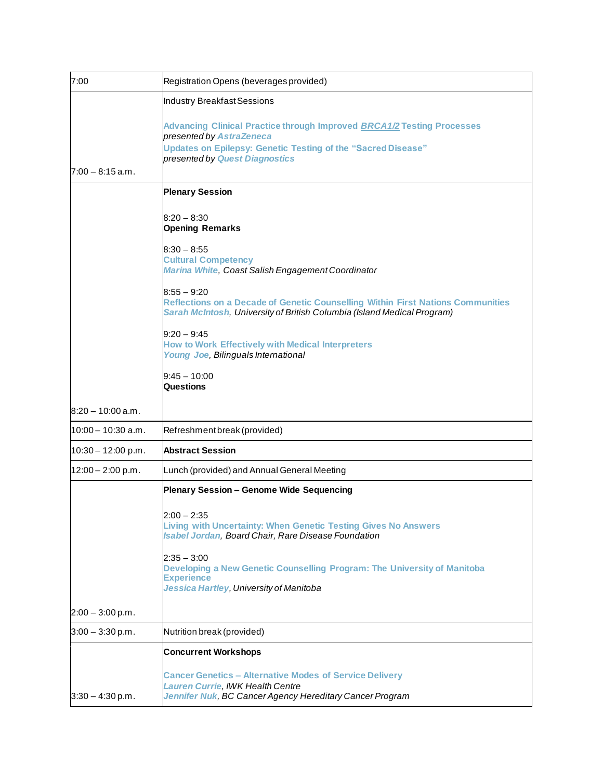| 7:00                 | Registration Opens (beverages provided)                                                                                                                                                                            |
|----------------------|--------------------------------------------------------------------------------------------------------------------------------------------------------------------------------------------------------------------|
|                      | Industry Breakfast Sessions                                                                                                                                                                                        |
| $7:00 - 8:15$ a.m.   | Advancing Clinical Practice through Improved <b>BRCA1/2</b> Testing Processes<br>presented by AstraZeneca<br><b>Updates on Epilepsy: Genetic Testing of the "Sacred Disease"</b><br>presented by Quest Diagnostics |
|                      |                                                                                                                                                                                                                    |
|                      | <b>Plenary Session</b>                                                                                                                                                                                             |
|                      | $8:20 - 8:30$<br><b>Opening Remarks</b>                                                                                                                                                                            |
|                      | $8:30 - 8:55$<br><b>Cultural Competency</b><br><b>Marina White, Coast Salish Engagement Coordinator</b>                                                                                                            |
|                      | $8:55 - 9:20$<br>Reflections on a Decade of Genetic Counselling Within First Nations Communities<br>Sarah McIntosh, University of British Columbia (Island Medical Program)                                        |
|                      | $9:20 - 9:45$<br><b>How to Work Effectively with Medical Interpreters</b><br>Young Joe, Bilinguals International                                                                                                   |
|                      | $9:45 - 10:00$<br><b>Questions</b>                                                                                                                                                                                 |
| $8:20 - 10:00$ a.m.  |                                                                                                                                                                                                                    |
| 10:00 – 10:30 a.m.   | Refreshmentbreak (provided)                                                                                                                                                                                        |
| $10:30 - 12:00$ p.m. | <b>Abstract Session</b>                                                                                                                                                                                            |
| $12:00 - 2:00$ p.m.  | Lunch (provided) and Annual General Meeting                                                                                                                                                                        |
|                      | Plenary Session - Genome Wide Sequencing                                                                                                                                                                           |
|                      | $2:00 - 2:35$<br><b>Living with Uncertainty: When Genetic Testing Gives No Answers</b><br><b>Isabel Jordan, Board Chair, Rare Disease Foundation</b>                                                               |
|                      | $2:35 - 3:00$<br>Developing a New Genetic Counselling Program: The University of Manitoba<br><b>Experience</b><br>Jessica Hartley, University of Manitoba                                                          |
| $2:00 - 3:00$ p.m.   |                                                                                                                                                                                                                    |
| $3:00 - 3:30$ p.m.   | Nutrition break (provided)                                                                                                                                                                                         |
|                      | <b>Concurrent Workshops</b>                                                                                                                                                                                        |
| $3:30 - 4:30$ p.m.   | <b>Cancer Genetics - Alternative Modes of Service Delivery</b><br>Lauren Currie, IWK Health Centre<br>Jennifer Nuk, BC Cancer Agency Hereditary Cancer Program                                                     |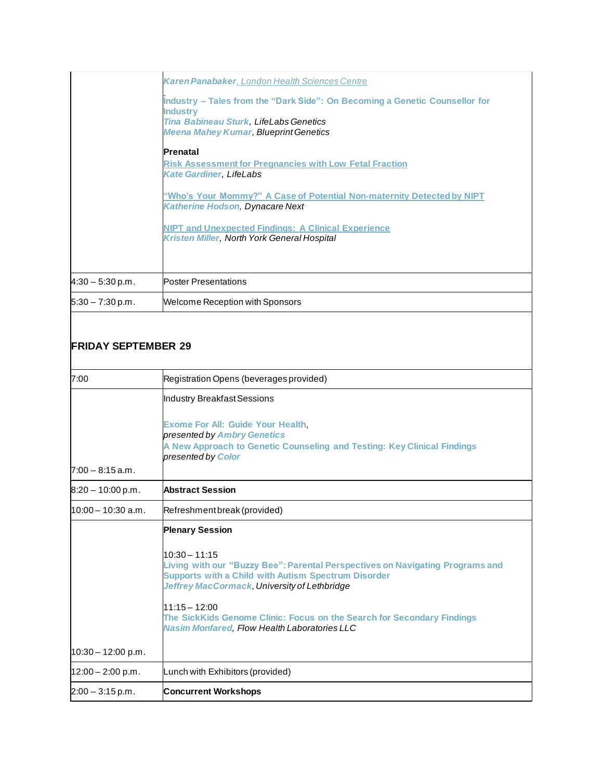| <b>Karen Panabaker</b> , London Health Sciences Centre                                                           |
|------------------------------------------------------------------------------------------------------------------|
| Industry – Tales from the "Dark Side": On Becoming a Genetic Counsellor for<br><b>Industry</b>                   |
| Tina Babineau Sturk, LifeLabs Genetics<br><b>Meena Mahey Kumar, Blueprint Genetics</b>                           |
| Prenatal                                                                                                         |
| <b>Risk Assessment for Pregnancies with Low Fetal Fraction</b><br><b>Kate Gardiner, LifeLabs</b>                 |
| "Who's Your Mommy?" A Case of Potential Non-maternity Detected by NIPT<br><b>Katherine Hodson, Dynacare Next</b> |
| <b>NIPT and Unexpected Findings: A Clinical Experience</b><br><b>Kristen Miller, North York General Hospital</b> |
|                                                                                                                  |
| <b>Poster Presentations</b>                                                                                      |
| Welcome Reception with Sponsors                                                                                  |
|                                                                                                                  |

## **FRIDAY SEPTEMBER 29**

| 7:00                 | Registration Opens (beverages provided)                                                                                                                                                                        |
|----------------------|----------------------------------------------------------------------------------------------------------------------------------------------------------------------------------------------------------------|
|                      | Industry Breakfast Sessions                                                                                                                                                                                    |
| $7:00 - 8:15$ a.m.   | <b>Exome For All: Guide Your Health,</b><br>presented by Ambry Genetics<br>A New Approach to Genetic Counseling and Testing: Key Clinical Findings<br>presented by Color                                       |
| $8:20 - 10:00$ p.m.  | <b>Abstract Session</b>                                                                                                                                                                                        |
| $10:00 - 10:30$ a.m. | Refreshment break (provided)                                                                                                                                                                                   |
|                      | <b>Plenary Session</b>                                                                                                                                                                                         |
|                      | $10:30 - 11:15$<br>Living with our "Buzzy Bee": Parental Perspectives on Navigating Programs and<br><b>Supports with a Child with Autism Spectrum Disorder</b><br>Jeffrey MacCormack, University of Lethbridge |
|                      | $11:15 - 12:00$<br>The SickKids Genome Clinic: Focus on the Search for Secondary Findings<br><b>Nasim Monfared, Flow Health Laboratories LLC</b>                                                               |
| $10:30 - 12:00$ p.m. |                                                                                                                                                                                                                |
| $12:00 - 2:00$ p.m.  | Lunch with Exhibitors (provided)                                                                                                                                                                               |
| $2:00 - 3:15$ p.m.   | <b>Concurrent Workshops</b>                                                                                                                                                                                    |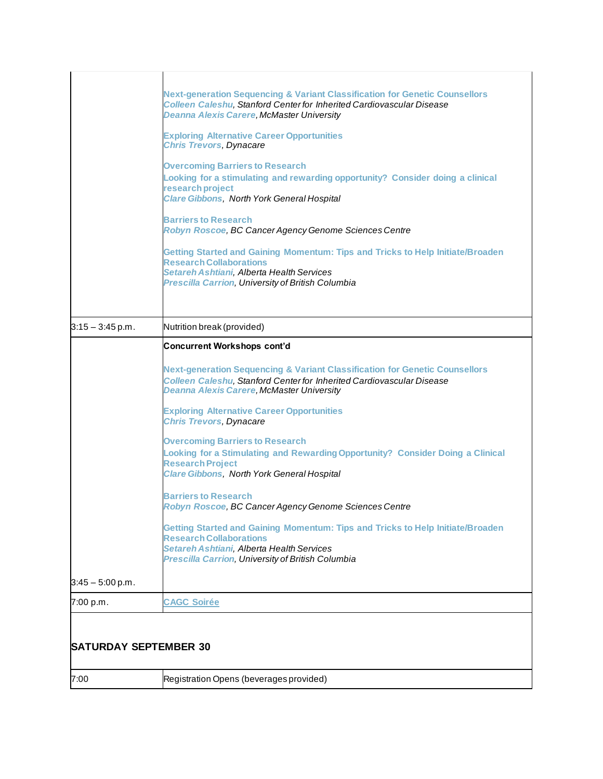| <b>SATURDAY SEPTEMBER 30</b> |                                                                                                                                                                                                                                                                                                                                                                                                                                                                                                                                                                                                                                                                                                                                                                                                                                                                           |
|------------------------------|---------------------------------------------------------------------------------------------------------------------------------------------------------------------------------------------------------------------------------------------------------------------------------------------------------------------------------------------------------------------------------------------------------------------------------------------------------------------------------------------------------------------------------------------------------------------------------------------------------------------------------------------------------------------------------------------------------------------------------------------------------------------------------------------------------------------------------------------------------------------------|
| 7:00 p.m.                    | <b>CAGC Soirée</b>                                                                                                                                                                                                                                                                                                                                                                                                                                                                                                                                                                                                                                                                                                                                                                                                                                                        |
| $3:45 - 5:00$ p.m.           | <b>Overcoming Barriers to Research</b><br>Looking for a Stimulating and Rewarding Opportunity? Consider Doing a Clinical<br><b>Research Project</b><br><b>Clare Gibbons, North York General Hospital</b><br><b>Barriers to Research</b><br>Robyn Roscoe, BC Cancer Agency Genome Sciences Centre<br>Getting Started and Gaining Momentum: Tips and Tricks to Help Initiate/Broaden<br><b>Research Collaborations</b><br>Setareh Ashtiani, Alberta Health Services<br>Prescilla Carrion, University of British Columbia                                                                                                                                                                                                                                                                                                                                                    |
|                              | <b>Concurrent Workshops cont'd</b><br><b>Next-generation Sequencing &amp; Variant Classification for Genetic Counsellors</b><br><b>Colleen Caleshu, Stanford Center for Inherited Cardiovascular Disease</b><br><b>Deanna Alexis Carere, McMaster University</b><br><b>Exploring Alternative Career Opportunities</b><br><b>Chris Trevors, Dynacare</b>                                                                                                                                                                                                                                                                                                                                                                                                                                                                                                                   |
| $3:15 - 3:45$ p.m.           | <b>Next-generation Sequencing &amp; Variant Classification for Genetic Counsellors</b><br><b>Colleen Caleshu, Stanford Center for Inherited Cardiovascular Disease</b><br><b>Deanna Alexis Carere, McMaster University</b><br><b>Exploring Alternative Career Opportunities</b><br><b>Chris Trevors, Dynacare</b><br><b>Overcoming Barriers to Research</b><br>Looking for a stimulating and rewarding opportunity? Consider doing a clinical<br>research project<br><b>Clare Gibbons, North York General Hospital</b><br><b>Barriers to Research</b><br>Robyn Roscoe, BC Cancer Agency Genome Sciences Centre<br>Getting Started and Gaining Momentum: Tips and Tricks to Help Initiate/Broaden<br><b>Research Collaborations</b><br>Setareh Ashtiani, Alberta Health Services<br><b>Prescilla Carrion, University of British Columbia</b><br>Nutrition break (provided) |